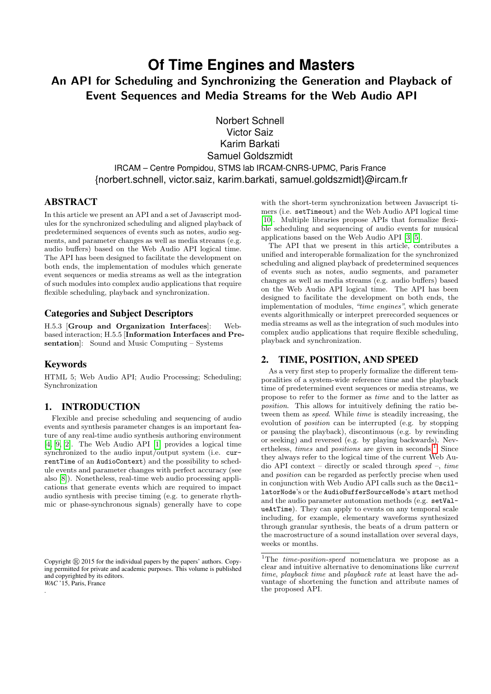# **Of Time Engines and Masters** An API for Scheduling and Synchronizing the Generation and Playback of

Event Sequences and Media Streams for the Web Audio API

Norbert Schnell Victor Saiz Karim Barkati Samuel Goldszmidt IRCAM – Centre Pompidou, STMS lab IRCAM-CNRS-UPMC, Paris France {norbert.schnell, victor.saiz, karim.barkati, samuel.goldszmidt}@ircam.fr

# ABSTRACT

In this article we present an API and a set of Javascript modules for the synchronized scheduling and aligned playback of predetermined sequences of events such as notes, audio segments, and parameter changes as well as media streams (e.g. audio buffers) based on the Web Audio API logical time. The API has been designed to facilitate the development on both ends, the implementation of modules which generate event sequences or media streams as well as the integration of such modules into complex audio applications that require flexible scheduling, playback and synchronization.

## Categories and Subject Descriptors

H.5.3 [Group and Organization Interfaces]: Webbased interaction; H.5.5 [Information Interfaces and Presentation]: Sound and Music Computing – Systems

# Keywords

.

HTML 5; Web Audio API; Audio Processing; Scheduling; Synchronization

## 1. INTRODUCTION

Flexible and precise scheduling and sequencing of audio events and synthesis parameter changes is an important feature of any real-time audio synthesis authoring environment [\[4,](#page-4-0) [9,](#page-4-1) [2\]](#page-4-2). The Web Audio API [\[1\]](#page-4-3) provides a logical time synchronized to the audio input/output system (i.e. currentTime of an AudioContext) and the possibility to schedule events and parameter changes with perfect accuracy (see also [\[8\]](#page-4-4)). Nonetheless, real-time web audio processing applications that generate events which are required to impact audio synthesis with precise timing (e.g. to generate rhythmic or phase-synchronous signals) generally have to cope

with the short-term synchronization between Javascript timers (i.e. setTimeout) and the Web Audio API logical time [\[10\]](#page-4-5). Multiple libraries propose APIs that formalize flexible scheduling and sequencing of audio events for musical applications based on the Web Audio API [\[3,](#page-4-6) [5\]](#page-4-7).

The API that we present in this article, contributes a unified and interoperable formalization for the synchronized scheduling and aligned playback of predetermined sequences of events such as notes, audio segments, and parameter changes as well as media streams (e.g. audio buffers) based on the Web Audio API logical time. The API has been designed to facilitate the development on both ends, the implementation of modules, "time engines", which generate events algorithmically or interpret prerecorded sequences or media streams as well as the integration of such modules into complex audio applications that require flexible scheduling, playback and synchronization.

# 2. TIME, POSITION, AND SPEED

As a very first step to properly formalize the different temporalities of a system-wide reference time and the playback time of predetermined event sequences or media streams, we propose to refer to the former as time and to the latter as position. This allows for intuitively defining the ratio between them as speed. While time is steadily increasing, the evolution of position can be interrupted (e.g. by stopping or pausing the playback), discontinuous (e.g. by rewinding or seeking) and reversed (e.g. by playing backwards). Nevertheless, *times* and *positions* are given in seconds.<sup>[1](#page-0-0)</sup> Since they always refer to the logical time of the current Web Audio API context – directly or scaled through speed –, time and position can be regarded as perfectly precise when used in conjunction with Web Audio API calls such as the OscillatorNode's or the AudioBufferSourceNode's start method and the audio parameter automation methods (e.g. setValueAtTime). They can apply to events on any temporal scale including, for example, elementary waveforms synthesized through granular synthesis, the beats of a drum pattern or the macrostructure of a sound installation over several days, weeks or months.

Copyright  $\overline{R}$  2015 for the individual papers by the papers' authors. Copying permitted for private and academic purposes. This volume is published and copyrighted by its editors. *WAC* '15, Paris, France

<span id="page-0-0"></span><sup>&</sup>lt;sup>1</sup>The  $time\text{-}position\text{-}speed$  nomenclatura we propose as a clear and intuitive alternative to denominations like current time, playback time and playback rate at least have the advantage of shortening the function and attribute names of the proposed API.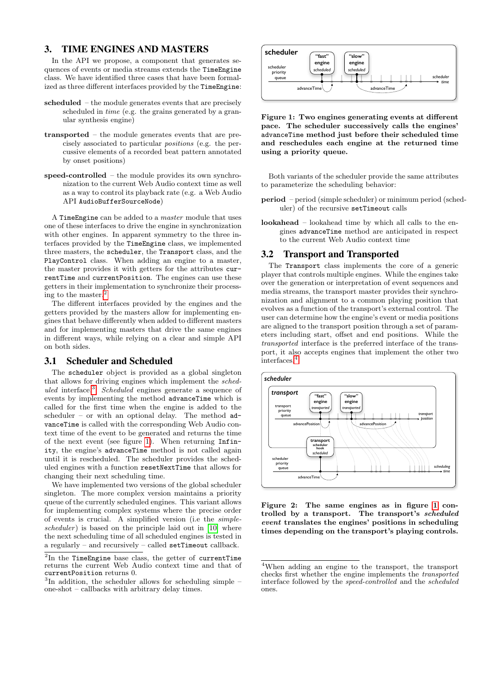## 3. TIME ENGINES AND MASTERS

In the API we propose, a component that generates sequences of events or media streams extends the TimeEngine class. We have identified three cases that have been formalized as three different interfaces provided by the TimeEngine:

- scheduled the module generates events that are precisely scheduled in time (e.g. the grains generated by a granular synthesis engine)
- transported the module generates events that are precisely associated to particular positions (e.g. the percussive elements of a recorded beat pattern annotated by onset positions)
- speed-controlled the module provides its own synchronization to the current Web Audio context time as well as a way to control its playback rate (e.g. a Web Audio API AudioBufferSourceNode)

A TimeEngine can be added to a master module that uses one of these interfaces to drive the engine in synchronization with other engines. In apparent symmetry to the three interfaces provided by the TimeEngine class, we implemented three masters, the scheduler, the Transport class, and the PlayControl class. When adding an engine to a master, the master provides it with getters for the attributes currentTime and currentPosition. The engines can use these getters in their implementation to synchronize their processing to the master.[2](#page-1-0)

The different interfaces provided by the engines and the getters provided by the masters allow for implementing engines that behave differently when added to different masters and for implementing masters that drive the same engines in different ways, while relying on a clear and simple API on both sides.

#### 3.1 Scheduler and Scheduled

The scheduler object is provided as a global singleton that allows for driving engines which implement the scheduled interface.[3](#page-1-1) Scheduled engines generate a sequence of events by implementing the method advanceTime which is called for the first time when the engine is added to the scheduler – or with an optional delay. The method  $ad$ vanceTime is called with the corresponding Web Audio context time of the event to be generated and returns the time of the next event (see figure [1\)](#page-1-2). When returning Infinity, the engine's advanceTime method is not called again until it is rescheduled. The scheduler provides the scheduled engines with a function resetNextTime that allows for changing their next scheduling time.

We have implemented two versions of the global scheduler singleton. The more complex version maintains a priority queue of the currently scheduled engines. This variant allows for implementing complex systems where the precise order of events is crucial. A simplified version (i.e the simple $scheduler$ ) is based on the principle laid out in [\[10\]](#page-4-5) where the next scheduling time of all scheduled engines is tested in a regularly – and recursively – called setTimeout callback.



<span id="page-1-2"></span>Figure 1: Two engines generating events at different pace. The scheduler successively calls the engines' advanceTime method just before their scheduled time and reschedules each engine at the returned time using a priority queue.

Both variants of the scheduler provide the same attributes to parameterize the scheduling behavior:

- period period (simple scheduler) or minimum period (scheduler) of the recursive setTimeout calls
- lookahead lookahead time by which all calls to the engines advanceTime method are anticipated in respect to the current Web Audio context time

#### <span id="page-1-5"></span>3.2 Transport and Transported

The Transport class implements the core of a generic player that controls multiple engines. While the engines take over the generation or interpretation of event sequences and media streams, the transport master provides their synchronization and alignment to a common playing position that evolves as a function of the transport's external control. The user can determine how the engine's event or media positions are aligned to the transport position through a set of parameters including start, offset and end positions. While the transported interface is the preferred interface of the transport, it also accepts engines that implement the other two  $\rm interfaces.^4$  $\rm interfaces.^4$ 



<span id="page-1-4"></span>Figure 2: The same engines as in figure [1](#page-1-2) controlled by a transport. The transport's scheduled event translates the engines' positions in scheduling times depending on the transport's playing controls.

<span id="page-1-0"></span> ${}^{2}\text{In}$  the TimeEngine base class, the getter of currentTime returns the current Web Audio context time and that of currentPosition returns 0.

<span id="page-1-1"></span><sup>&</sup>lt;sup>3</sup>In addition, the scheduler allows for scheduling simple – one-shot – callbacks with arbitrary delay times.

<span id="page-1-3"></span><sup>4</sup>When adding an engine to the transport, the transport checks first whether the engine implements the transported interface followed by the speed-controlled and the scheduled ones.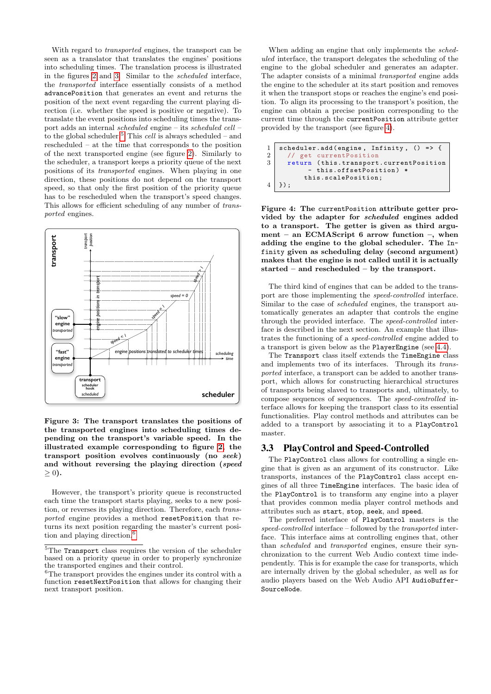With regard to transported engines, the transport can be seen as a translator that translates the engines' positions into scheduling times. The translation process is illustrated in the figures [2](#page-1-4) and [3.](#page-2-0) Similar to the scheduled interface, the transported interface essentially consists of a method advancePosition that generates an event and returns the position of the next event regarding the current playing direction (i.e. whether the speed is positive or negative). To translate the event positions into scheduling times the transport adds an internal scheduled engine – its scheduled cell – to the global scheduler.<sup>[5](#page-2-1)</sup> This *cell* is always scheduled – and rescheduled – at the time that corresponds to the position of the next transported engine (see figure [2\)](#page-1-4). Similarly to the scheduler, a transport keeps a priority queue of the next positions of its transported engines. When playing in one direction, these positions do not depend on the transport speed, so that only the first position of the priority queue has to be rescheduled when the transport's speed changes. This allows for efficient scheduling of any number of transported engines.



<span id="page-2-0"></span>Figure 3: The transport translates the positions of the transported engines into scheduling times depending on the transport's variable speed. In the illustrated example corresponding to figure [2,](#page-1-4) the transport position evolves continuously (no seek) and without reversing the playing direction (speed  $>0$ ).

However, the transport's priority queue is reconstructed each time the transport starts playing, seeks to a new position, or reverses its playing direction. Therefore, each transported engine provides a method resetPosition that returns its next position regarding the master's current posi-tion and playing direction.<sup>[6](#page-2-2)</sup>

When adding an engine that only implements the scheduled interface, the transport delegates the scheduling of the engine to the global scheduler and generates an adapter. The adapter consists of a minimal transported engine adds the engine to the scheduler at its start position and removes it when the transport stops or reaches the engine's end position. To align its processing to the transport's position, the engine can obtain a precise position corresponding to the current time through the currentPosition attribute getter provided by the transport (see figure [4\)](#page-2-3).

```
1 scheduler.add (engine, Infinity, () => {<br>
\frac{1}{2} // get currentPosition
\begin{array}{c|c} 2 & // get current Position \\ 3 & return (this. transport) \end{array}return (this.transport.currentPosition
                   this.offsetPosition) *
               this.scalePosition;
4 }) ;
```
<span id="page-2-3"></span>Figure 4: The currentPosition attribute getter provided by the adapter for scheduled engines added to a transport. The getter is given as third argument – an ECMAScript 6 arrow function –, when adding the engine to the global scheduler. The Infinity given as scheduling delay (second argument) makes that the engine is not called until it is actually started – and rescheduled – by the transport.

The third kind of engines that can be added to the transport are those implementing the speed-controlled interface. Similar to the case of scheduled engines, the transport automatically generates an adapter that controls the engine through the provided interface. The speed-controlled interface is described in the next section. An example that illustrates the functioning of a speed-controlled engine added to a transport is given below as the PlayerEngine (see [4.4\)](#page-4-8).

The Transport class itself extends the TimeEngine class and implements two of its interfaces. Through its transported interface, a transport can be added to another transport, which allows for constructing hierarchical structures of transports being slaved to transports and, ultimately, to compose sequences of sequences. The speed-controlled interface allows for keeping the transport class to its essential functionalities. Play control methods and attributes can be added to a transport by associating it to a PlayControl master.

#### 3.3 PlayControl and Speed-Controlled

The PlayControl class allows for controlling a single engine that is given as an argument of its constructor. Like transports, instances of the PlayControl class accept engines of all three TimeEngine interfaces. The basic idea of the PlayControl is to transform any engine into a player that provides common media player control methods and attributes such as start, stop, seek, and speed.

The preferred interface of PlayControl masters is the speed-controlled interface – followed by the transported interface. This interface aims at controlling engines that, other than scheduled and transported engines, ensure their synchronization to the current Web Audio context time independently. This is for example the case for transports, which are internally driven by the global scheduler, as well as for audio players based on the Web Audio API AudioBuffer-SourceNode.

<span id="page-2-1"></span> $5$ The Transport class requires the version of the scheduler based on a priority queue in order to properly synchronize the transported engines and their control.

<span id="page-2-2"></span> $6$ The transport provides the engines under its control with a function resetNextPosition that allows for changing their next transport position.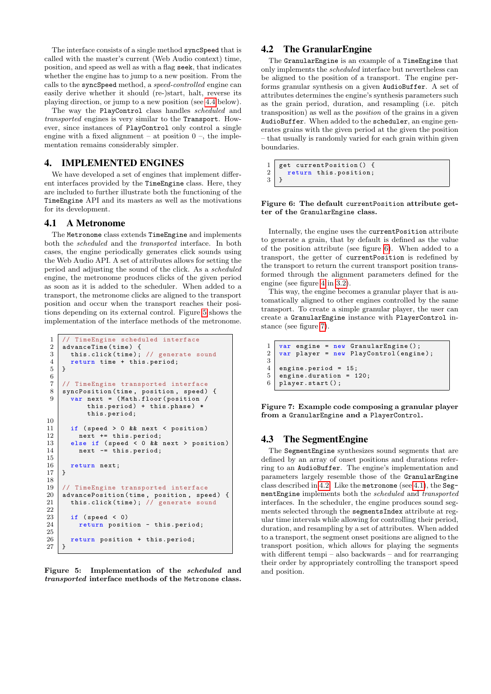The interface consists of a single method syncSpeed that is called with the master's current (Web Audio context) time, position, and speed as well as with a flag seek, that indicates whether the engine has to jump to a new position. From the calls to the syncSpeed method, a speed-controlled engine can easily derive whether it should (re-)start, halt, reverse its playing direction, or jump to a new position (see [4.4](#page-4-8) below).

The way the PlayControl class handles scheduled and transported engines is very similar to the Transport. However, since instances of PlayControl only control a single engine with a fixed alignment – at position  $0 -$ , the implementation remains considerably simpler.

#### 4. IMPLEMENTED ENGINES

We have developed a set of engines that implement different interfaces provided by the TimeEngine class. Here, they are included to further illustrate both the functioning of the TimeEngine API and its masters as well as the motivations for its development.

#### <span id="page-3-4"></span>4.1 A Metronome

The Metronome class extends TimeEngine and implements both the scheduled and the transported interface. In both cases, the engine periodically generates click sounds using the Web Audio API. A set of attributes allows for setting the period and adjusting the sound of the click. As a scheduled engine, the metronome produces clicks of the given period as soon as it is added to the scheduler. When added to a transport, the metronome clicks are aligned to the transport position and occur when the transport reaches their positions depending on its external control. Figure [5](#page-3-0) shows the implementation of the interface methods of the metronome.

```
1 // TimeEngine scheduled interface<br>2 advanceTime(time) {
 \begin{array}{c|c} 2 & \mathtt{advanceTime}(\mathtt{time}) & \mathtt{f} \\ 3 & \mathtt{this}.\mathtt{click}(\mathtt{time}); \end{array}this.click (time); // generate sound
 \begin{array}{c|c} 4 & \text{return time + this. period;} \\ 5 & \text{.} \end{array}5\,\frac{6}{7}// TimeEngine transported interface
 8 syncPosition (time, position, speed) {
 9 var next = (Math.floor (position /
               this.period) + this.phase) *
               this.period;
10
11 if (speed > 0 && next < position)
12 next += this.period;
13 else if (speed < 0 && next > position)
14 next -= this.period;
15
\begin{array}{c|c} 16 & \text{return next;} \\ 17 & \end{array}17 }
18
19 // TimeEngine transported interface<br>20 advancePosition(time, position, spe
20 \vert advancePosition (time, position, speed) {
21 this.click (time); // generate sound
22
\begin{array}{c|c} 23 & \text{if (speed < 0)} \\ 24 & \text{return posit} \end{array}return position - this.period;
\frac{25}{26}return position + this.period;
27 }
```
<span id="page-3-0"></span>Figure 5: Implementation of the scheduled and transported interface methods of the Metronome class.

# <span id="page-3-3"></span>4.2 The GranularEngine

The GranularEngine is an example of a TimeEngine that only implements the scheduled interface but nevertheless can be aligned to the position of a transport. The engine performs granular synthesis on a given AudioBuffer. A set of attributes determines the engine's synthesis parameters such as the grain period, duration, and resampling (i.e. pitch transposition) as well as the position of the grains in a given AudioBuffer. When added to the scheduler, an engine generates grains with the given period at the given the position – that usually is randomly varied for each grain within given boundaries.

 $\frac{1}{2}$  get current Position () { return this.position;  $\mathbf{3}$ 

#### <span id="page-3-1"></span>Figure 6: The default currentPosition attribute getter of the GranularEngine class.

Internally, the engine uses the currentPosition attribute to generate a grain, that by default is defined as the value of the position attribute (see figure [6\)](#page-3-1). When added to a transport, the getter of currentPosition is redefined by the transport to return the current transport position transformed through the alignment parameters defined for the engine (see figure [4](#page-2-3) in [3.2\)](#page-1-5).

This way, the engine becomes a granular player that is automatically aligned to other engines controlled by the same transport. To create a simple granular player, the user can create a GranularEngine instance with PlayerControl instance (see figure [7\)](#page-3-2).

```
\begin{array}{c|c} 1 & \text{var engine} = \text{new } \text{Granular Engine}() \text{;} \\ 2 & \text{var player} = \text{new } \text{PlavControl (enwin)} \end{array}var player = new PlayControl (engine);
\frac{3}{4}\begin{array}{c|cc} 4 & \text{engine.} \text{period} & = & 15 \\ 5 & \text{engine.} \text{duration} & = & 1 \end{array}\begin{array}{c|c}\n5 & \text{engine.} \text{duration} = 120; \\
6 & \text{player.} \text{start}() : \n\end{array}player.start ();
```
<span id="page-3-2"></span>Figure 7: Example code composing a granular player from a GranularEngine and a PlayerControl.

## 4.3 The SegmentEngine

The SegmentEngine synthesizes sound segments that are defined by an array of onset positions and durations referring to an AudioBuffer. The engine's implementation and parameters largely resemble those of the GranularEngine class described in [4.2.](#page-3-3) Like the metronome (see [4.1\)](#page-3-4), the SegmentEngine implements both the scheduled and transported interfaces. In the scheduler, the engine produces sound segments selected through the segmentsIndex attribute at regular time intervals while allowing for controlling their period, duration, and resampling by a set of attributes. When added to a transport, the segment onset positions are aligned to the transport position, which allows for playing the segments with different tempi – also backwards – and for rearranging their order by appropriately controlling the transport speed and position.